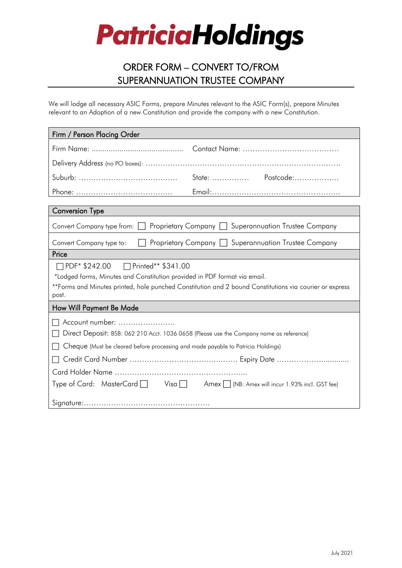# **PatriciaHoldings**

### ORDER FORM – CONVERT TO/FROM SUPERANNUATION TRUSTEE COMPANY

We will lodge all necessary ASIC Forms, prepare Minutes relevant to the ASIC Form(s), prepare Minutes relevant to an Adoption of a new Constitution and provide the company with a new Constitution.

| Firm / Person Placing Order                                                                                      |                                                                                    |
|------------------------------------------------------------------------------------------------------------------|------------------------------------------------------------------------------------|
|                                                                                                                  |                                                                                    |
|                                                                                                                  |                                                                                    |
|                                                                                                                  | State:  Postcode:                                                                  |
|                                                                                                                  |                                                                                    |
| <b>Conversion Type</b>                                                                                           |                                                                                    |
|                                                                                                                  |                                                                                    |
| Proprietary Company [<br>Superannuation Trustee Company<br>Convert Company type from:                            |                                                                                    |
| Superannuation Trustee Company<br>Proprietary Company<br>Convert Company type to:                                |                                                                                    |
| Price                                                                                                            |                                                                                    |
| □ PDF* \$242.00 □ Printed** \$341.00                                                                             |                                                                                    |
| *Lodged forms, Minutes and Constitution provided in PDF format via email.                                        |                                                                                    |
| **Forms and Minutes printed, hole punched Constitution and 2 bound Constitutions via courier or express<br>post. |                                                                                    |
| How Will Payment Be Made                                                                                         |                                                                                    |
| Account number:                                                                                                  |                                                                                    |
| Direct Deposit: BSB: 062 210 Acct. 1036 0658 (Please use the Company name as reference)                          |                                                                                    |
| Cheque (Must be cleared before processing and made payable to Patricia Holdings)                                 |                                                                                    |
|                                                                                                                  |                                                                                    |
|                                                                                                                  |                                                                                    |
|                                                                                                                  | Type of Card: MasterCard   Visa   Amex   (NB: Amex will incur 1.93% incl. GST fee) |
|                                                                                                                  |                                                                                    |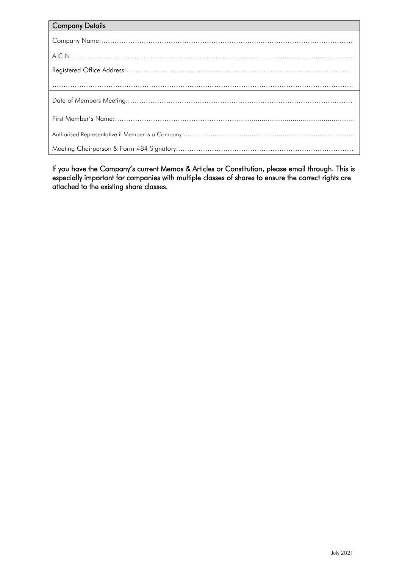| <b>Company Details</b> |
|------------------------|
|                        |
|                        |
|                        |
|                        |
|                        |
|                        |
|                        |
|                        |

If you have the Company's current Memos & Articles or Constitution, please email through. This is especially important for companies with multiple classes of shares to ensure the correct rights are attached to the existing share classes.